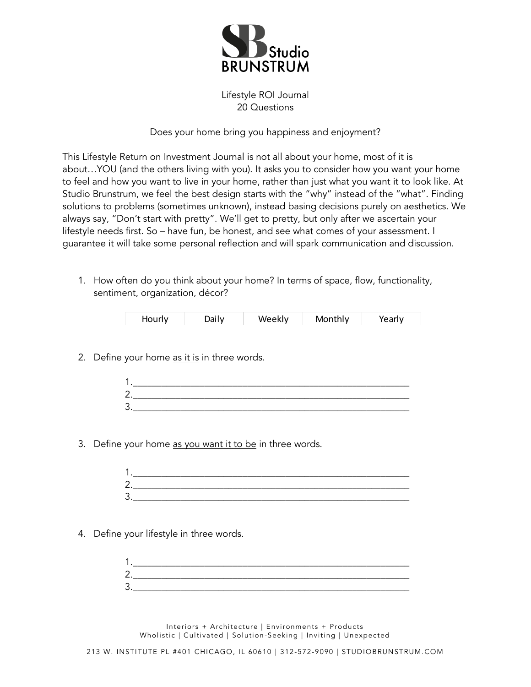

Lifestyle ROI Journal 20 Questions

## Does your home bring you happiness and enjoyment?

This Lifestyle Return on Investment Journal is not all about your home, most of it is about…YOU (and the others living with you). It asks you to consider how you want your home to feel and how you want to live in your home, rather than just what you want it to look like. At Studio Brunstrum, we feel the best design starts with the "why" instead of the "what". Finding solutions to problems (sometimes unknown), instead basing decisions purely on aesthetics. We always say, "Don't start with pretty". We'll get to pretty, but only after we ascertain your lifestyle needs first. So – have fun, be honest, and see what comes of your assessment. I guarantee it will take some personal reflection and will spark communication and discussion.

1. How often do you think about your home? In terms of space, flow, functionality, sentiment, organization, décor?

| Hourly<br>۱۸/۹۵k۱۷<br>Monthly<br>)ailv |  |
|----------------------------------------|--|
|----------------------------------------|--|

2. Define your home as it is in three words.

3. Define your home as you want it to be in three words.

| л      |  |  |
|--------|--|--|
| ⌒<br>╯ |  |  |
| ς<br>ٮ |  |  |

4. Define your lifestyle in three words.

| 1       |  |  |
|---------|--|--|
| ◠       |  |  |
| ્ર<br>ັ |  |  |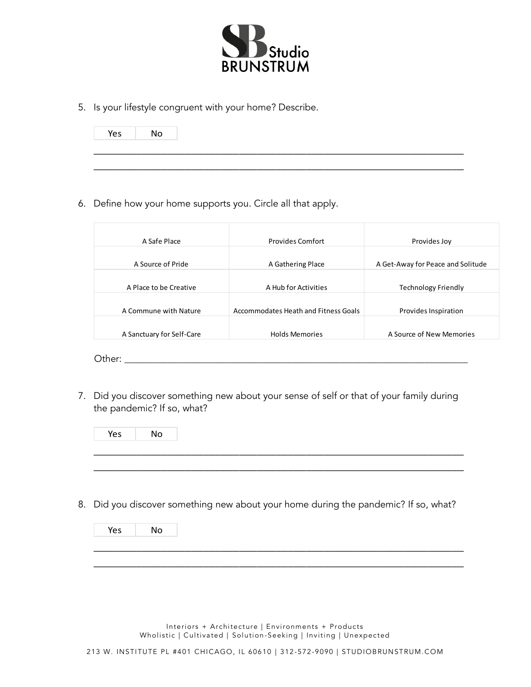

\_\_\_\_\_\_\_\_\_\_\_\_\_\_\_\_\_\_\_\_\_\_\_\_\_\_\_\_\_\_\_\_\_\_\_\_\_\_\_\_\_\_\_\_\_\_\_\_\_\_\_\_\_\_\_\_\_\_\_\_\_

5. Is your lifestyle congruent with your home? Describe.

\_\_\_\_\_\_\_\_\_\_\_\_\_\_\_\_\_\_\_\_\_\_\_\_\_\_\_\_\_\_\_\_\_\_\_\_\_\_\_\_\_\_\_\_\_\_\_\_\_\_\_\_\_\_\_\_\_\_\_\_\_ Yes No

6. Define how your home supports you. Circle all that apply.

| A Safe Place           | <b>Provides Comfort</b>              | Provides Joy                      |
|------------------------|--------------------------------------|-----------------------------------|
|                        |                                      |                                   |
| A Source of Pride      | A Gathering Place                    | A Get-Away for Peace and Solitude |
| A Place to be Creative | A Hub for Activities                 | <b>Technology Friendly</b>        |
| A Commune with Nature  | Accommodates Heath and Fitness Goals | Provides Inspiration              |
|                        | <b>Holds Memories</b>                | A Source of New Memories          |

7. Did you discover something new about your sense of self or that of your family during the pandemic? If so, what?

\_\_\_\_\_\_\_\_\_\_\_\_\_\_\_\_\_\_\_\_\_\_\_\_\_\_\_\_\_\_\_\_\_\_\_\_\_\_\_\_\_\_\_\_\_\_\_\_\_\_\_\_\_\_\_\_\_\_\_\_\_ Yes No

\_\_\_\_\_\_\_\_\_\_\_\_\_\_\_\_\_\_\_\_\_\_\_\_\_\_\_\_\_\_\_\_\_\_\_\_\_\_\_\_\_\_\_\_\_\_\_\_\_\_\_\_\_\_\_\_\_\_\_\_\_

8. Did you discover something new about your home during the pandemic? If so, what?

\_\_\_\_\_\_\_\_\_\_\_\_\_\_\_\_\_\_\_\_\_\_\_\_\_\_\_\_\_\_\_\_\_\_\_\_\_\_\_\_\_\_\_\_\_\_\_\_\_\_\_\_\_\_\_\_\_\_\_\_\_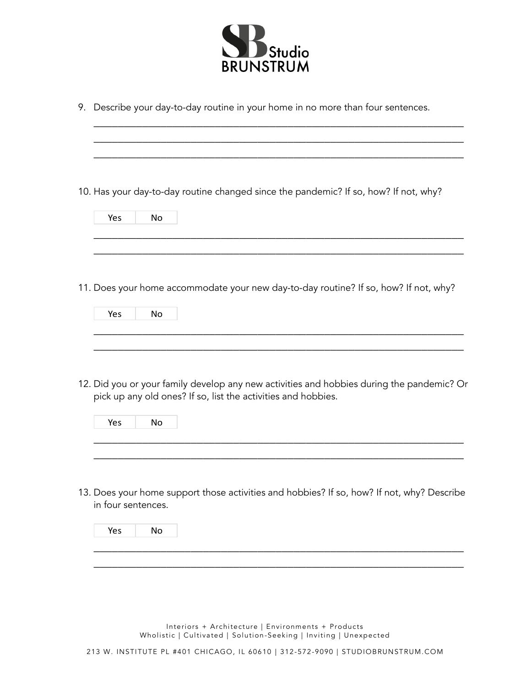

| 9. Describe your day-to-day routine in your home in no more than four sentences.                                                                                        |
|-------------------------------------------------------------------------------------------------------------------------------------------------------------------------|
| 10. Has your day-to-day routine changed since the pandemic? If so, how? If not, why?<br>Yes<br>No                                                                       |
| 11. Does your home accommodate your new day-to-day routine? If so, how? If not, why?<br>Yes<br><b>No</b>                                                                |
| 12. Did you or your family develop any new activities and hobbies during the pandemic? Or<br>pick up any old ones? If so, list the activities and hobbies.<br>No<br>Yes |
| 13. Does your home support those activities and hobbies? If so, how? If not, why? Describe<br>in four sentences.<br>No<br>Yes                                           |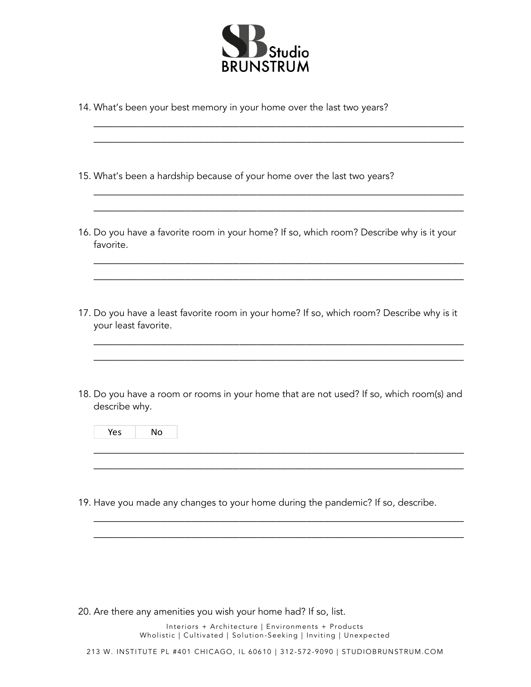

14. What's been your best memory in your home over the last two years?

\_\_\_\_\_\_\_\_\_\_\_\_\_\_\_\_\_\_\_\_\_\_\_\_\_\_\_\_\_\_\_\_\_\_\_\_\_\_\_\_\_\_\_\_\_\_\_\_\_\_\_\_\_\_\_\_\_\_\_\_\_

- 15. What's been a hardship because of your home over the last two years?
- 16. Do you have a favorite room in your home? If so, which room? Describe why is it your favorite.

\_\_\_\_\_\_\_\_\_\_\_\_\_\_\_\_\_\_\_\_\_\_\_\_\_\_\_\_\_\_\_\_\_\_\_\_\_\_\_\_\_\_\_\_\_\_\_\_\_\_\_\_\_\_\_\_\_\_\_\_\_

\_\_\_\_\_\_\_\_\_\_\_\_\_\_\_\_\_\_\_\_\_\_\_\_\_\_\_\_\_\_\_\_\_\_\_\_\_\_\_\_\_\_\_\_\_\_\_\_\_\_\_\_\_\_\_\_\_\_\_\_\_ \_\_\_\_\_\_\_\_\_\_\_\_\_\_\_\_\_\_\_\_\_\_\_\_\_\_\_\_\_\_\_\_\_\_\_\_\_\_\_\_\_\_\_\_\_\_\_\_\_\_\_\_\_\_\_\_\_\_\_\_\_

\_\_\_\_\_\_\_\_\_\_\_\_\_\_\_\_\_\_\_\_\_\_\_\_\_\_\_\_\_\_\_\_\_\_\_\_\_\_\_\_\_\_\_\_\_\_\_\_\_\_\_\_\_\_\_\_\_\_\_\_\_

17. Do you have a least favorite room in your home? If so, which room? Describe why is it your least favorite.

\_\_\_\_\_\_\_\_\_\_\_\_\_\_\_\_\_\_\_\_\_\_\_\_\_\_\_\_\_\_\_\_\_\_\_\_\_\_\_\_\_\_\_\_\_\_\_\_\_\_\_\_\_\_\_\_\_\_\_\_\_ \_\_\_\_\_\_\_\_\_\_\_\_\_\_\_\_\_\_\_\_\_\_\_\_\_\_\_\_\_\_\_\_\_\_\_\_\_\_\_\_\_\_\_\_\_\_\_\_\_\_\_\_\_\_\_\_\_\_\_\_\_

18. Do you have a room or rooms in your home that are not used? If so, which room(s) and describe why.

\_\_\_\_\_\_\_\_\_\_\_\_\_\_\_\_\_\_\_\_\_\_\_\_\_\_\_\_\_\_\_\_\_\_\_\_\_\_\_\_\_\_\_\_\_\_\_\_\_\_\_\_\_\_\_\_\_\_\_\_\_ \_\_\_\_\_\_\_\_\_\_\_\_\_\_\_\_\_\_\_\_\_\_\_\_\_\_\_\_\_\_\_\_\_\_\_\_\_\_\_\_\_\_\_\_\_\_\_\_\_\_\_\_\_\_\_\_\_\_\_\_\_

\_\_\_\_\_\_\_\_\_\_\_\_\_\_\_\_\_\_\_\_\_\_\_\_\_\_\_\_\_\_\_\_\_\_\_\_\_\_\_\_\_\_\_\_\_\_\_\_\_\_\_\_\_\_\_\_\_\_\_\_\_ \_\_\_\_\_\_\_\_\_\_\_\_\_\_\_\_\_\_\_\_\_\_\_\_\_\_\_\_\_\_\_\_\_\_\_\_\_\_\_\_\_\_\_\_\_\_\_\_\_\_\_\_\_\_\_\_\_\_\_\_\_

- Yes No
- 19. Have you made any changes to your home during the pandemic? If so, describe.

20. Are there any amenities you wish your home had? If so, list.